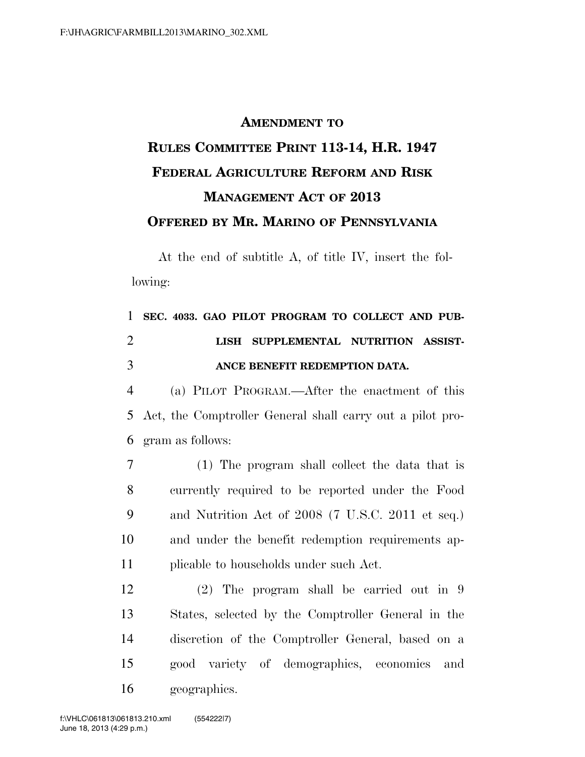## **AMENDMENT TO RULES COMMITTEE PRINT 113-14, H.R. 1947 FEDERAL AGRICULTURE REFORM AND RISK MANAGEMENT ACT OF 2013 OFFERED BY MR. MARINO OF PENNSYLVANIA**

At the end of subtitle A, of title IV, insert the following:

## **SEC. 4033. GAO PILOT PROGRAM TO COLLECT AND PUB- LISH SUPPLEMENTAL NUTRITION ASSIST-ANCE BENEFIT REDEMPTION DATA.**

 (a) PILOT PROGRAM.—After the enactment of this Act, the Comptroller General shall carry out a pilot pro-gram as follows:

 (1) The program shall collect the data that is currently required to be reported under the Food and Nutrition Act of 2008 (7 U.S.C. 2011 et seq.) and under the benefit redemption requirements ap-plicable to households under such Act.

 (2) The program shall be carried out in 9 States, selected by the Comptroller General in the discretion of the Comptroller General, based on a good variety of demographics, economics and geographics.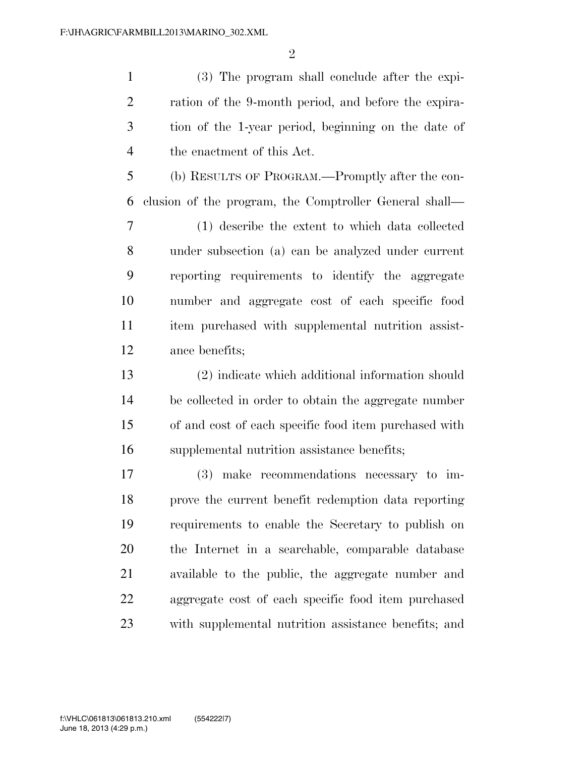(3) The program shall conclude after the expi- ration of the 9-month period, and before the expira- tion of the 1-year period, beginning on the date of the enactment of this Act.

 (b) RESULTS OF PROGRAM.—Promptly after the con-clusion of the program, the Comptroller General shall—

 (1) describe the extent to which data collected under subsection (a) can be analyzed under current reporting requirements to identify the aggregate number and aggregate cost of each specific food item purchased with supplemental nutrition assist-ance benefits;

 (2) indicate which additional information should be collected in order to obtain the aggregate number of and cost of each specific food item purchased with supplemental nutrition assistance benefits;

 (3) make recommendations necessary to im- prove the current benefit redemption data reporting requirements to enable the Secretary to publish on the Internet in a searchable, comparable database available to the public, the aggregate number and aggregate cost of each specific food item purchased with supplemental nutrition assistance benefits; and